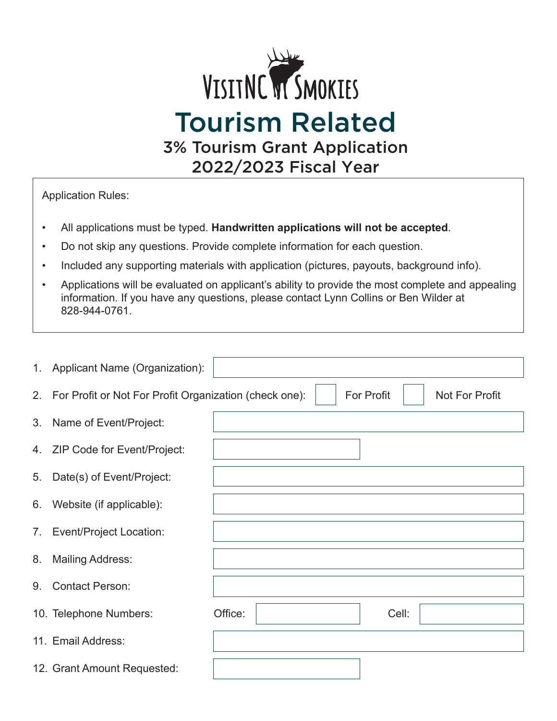

Application Rules:

- All applications must be typed. **Handwritten applications will not be accepted**.
- Do not skip any questions. Provide complete information for each question.
- Included any supporting materials with application (pictures, payouts, background info).
- Applications will be evaluated on applicant's ability to provide the most complete and appealing information. If you have any questions, please contact Lynn Collins or Ben Wilder at 828-944-0761.

|    | 1. Applicant Name (Organization):                         |                                     |
|----|-----------------------------------------------------------|-------------------------------------|
|    | 2. For Profit or Not For Profit Organization (check one): | <b>For Profit</b><br>Not For Profit |
| 3. | Name of Event/Project:                                    |                                     |
|    | 4. ZIP Code for Event/Project:                            |                                     |
| 5. | Date(s) of Event/Project:                                 |                                     |
| 6. | Website (if applicable):                                  |                                     |
| 7. | Event/Project Location:                                   |                                     |
| 8. | <b>Mailing Address:</b>                                   |                                     |
| 9. | <b>Contact Person:</b>                                    |                                     |
|    | 10. Telephone Numbers:                                    | Office:<br>Cell:                    |
|    | 11. Email Address:                                        |                                     |
|    | 12. Grant Amount Requested:                               |                                     |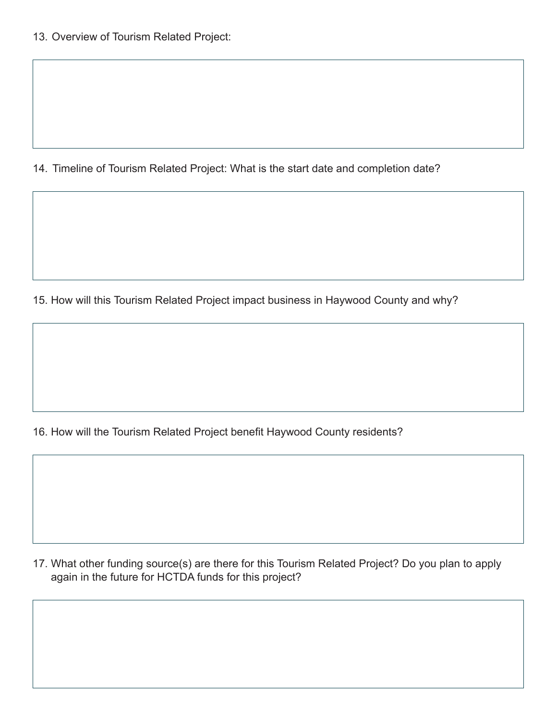14. Timeline of Tourism Related Project: What is the start date and completion date?

15. How will this Tourism Related Project impact business in Haywood County and why?

16. How will the Tourism Related Project benefit Haywood County residents?

17. What other funding source(s) are there for this Tourism Related Project? Do you plan to apply again in the future for HCTDA funds for this project?